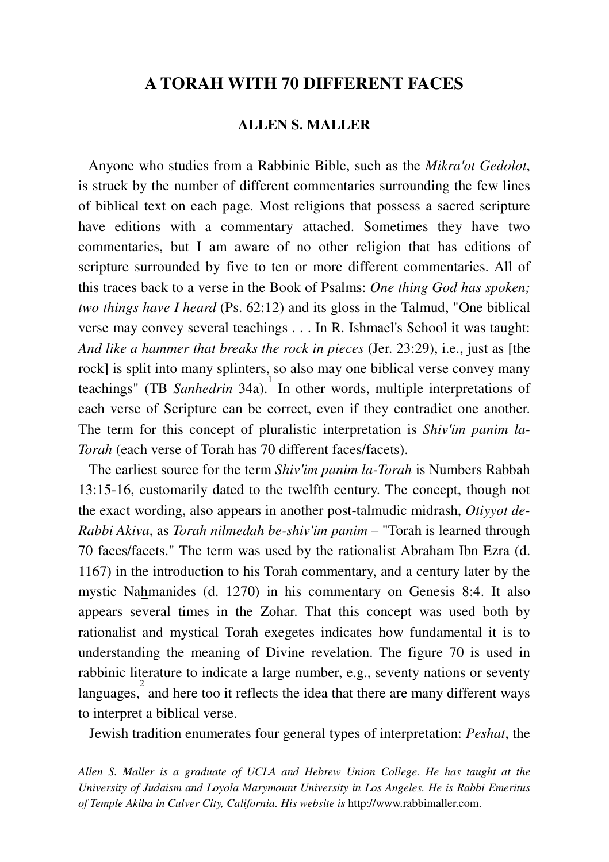# **A TORAH WITH 70 DIFFERENT FACES**

## **ALLEN S. MALLER**

 Anyone who studies from a Rabbinic Bible, such as the *Mikra*′*ot Gedolot*, is struck by the number of different commentaries surrounding the few lines of biblical text on each page. Most religions that possess a sacred scripture have editions with a commentary attached. Sometimes they have two commentaries, but I am aware of no other religion that has editions of scripture surrounded by five to ten or more different commentaries. All of this traces back to a verse in the Book of Psalms: *One thing God has spoken; two things have I heard* (Ps. 62:12) and its gloss in the Talmud, "One biblical verse may convey several teachings . . . In R. Ishmael's School it was taught: *And like a hammer that breaks the rock in pieces* (Jer. 23:29), i.e., just as [the rock] is split into many splinters, so also may one biblical verse convey many teachings" (TB *Sanhedrin* 34a). 1 In other words, multiple interpretations of each verse of Scripture can be correct, even if they contradict one another. The term for this concept of pluralistic interpretation is *Shiv*′*im panim la-Torah* (each verse of Torah has 70 different faces/facets).

 The earliest source for the term *Shiv*′*im panim la-Torah* is Numbers Rabbah 13:15-16, customarily dated to the twelfth century. The concept, though not the exact wording, also appears in another post-talmudic midrash, *Otiyyot de-Rabbi Akiva*, as *Torah nilmedah be-shiv'im panim* – "Torah is learned through 70 faces/facets." The term was used by the rationalist Abraham Ibn Ezra (d. 1167) in the introduction to his Torah commentary, and a century later by the mystic Nahmanides (d. 1270) in his commentary on Genesis 8:4. It also appears several times in the Zohar. That this concept was used both by rationalist and mystical Torah exegetes indicates how fundamental it is to understanding the meaning of Divine revelation. The figure 70 is used in rabbinic literature to indicate a large number, e.g., seventy nations or seventy languages, $\frac{2}{3}$  and here too it reflects the idea that there are many different ways to interpret a biblical verse.

Jewish tradition enumerates four general types of interpretation: *Peshat*, the

*Allen S. Maller is a graduate of UCLA and Hebrew Union College. He has taught at the University of Judaism and Loyola Marymount University in Los Angeles. He is Rabbi Emeritus of Temple Akiba in Culver City, California. His website is* http://www.rabbimaller.com.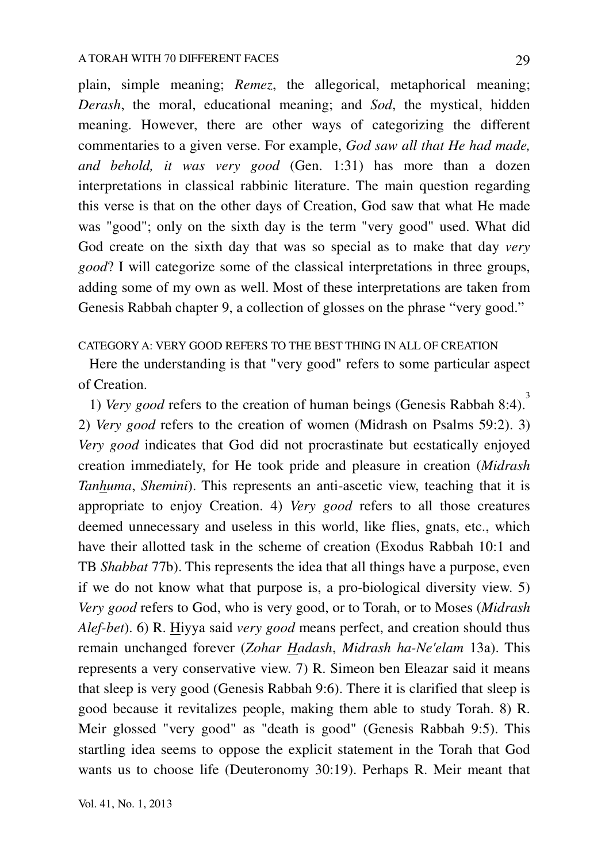plain, simple meaning; *Remez*, the allegorical, metaphorical meaning; *Derash*, the moral, educational meaning; and *Sod*, the mystical, hidden meaning. However, there are other ways of categorizing the different commentaries to a given verse. For example, *God saw all that He had made, and behold, it was very good* (Gen. 1:31) has more than a dozen interpretations in classical rabbinic literature. The main question regarding this verse is that on the other days of Creation, God saw that what He made was "good"; only on the sixth day is the term "very good" used. What did God create on the sixth day that was so special as to make that day *very good*? I will categorize some of the classical interpretations in three groups, adding some of my own as well. Most of these interpretations are taken from Genesis Rabbah chapter 9, a collection of glosses on the phrase "very good."

# CATEGORY A: VERY GOOD REFERS TO THE BEST THING IN ALL OF CREATION

 Here the understanding is that "very good" refers to some particular aspect of Creation.

 1) *Very good* refers to the creation of human beings (Genesis Rabbah 8:4). 3 2) *Very good* refers to the creation of women (Midrash on Psalms 59:2). 3) *Very good* indicates that God did not procrastinate but ecstatically enjoyed creation immediately, for He took pride and pleasure in creation (*Midrash Tanhuma*, *Shemini*). This represents an anti-ascetic view, teaching that it is appropriate to enjoy Creation. 4) *Very good* refers to all those creatures deemed unnecessary and useless in this world, like flies, gnats, etc., which have their allotted task in the scheme of creation (Exodus Rabbah 10:1 and TB *Shabbat* 77b). This represents the idea that all things have a purpose, even if we do not know what that purpose is, a pro-biological diversity view. 5) *Very good* refers to God, who is very good, or to Torah, or to Moses (*Midrash Alef-bet*). 6) R. Hiyya said *very good* means perfect, and creation should thus remain unchanged forever (*Zohar Hadash*, *Midrash ha-Ne'elam* 13a). This represents a very conservative view. 7) R. Simeon ben Eleazar said it means that sleep is very good (Genesis Rabbah 9:6). There it is clarified that sleep is good because it revitalizes people, making them able to study Torah. 8) R. Meir glossed "very good" as "death is good" (Genesis Rabbah 9:5). This startling idea seems to oppose the explicit statement in the Torah that God wants us to choose life (Deuteronomy 30:19). Perhaps R. Meir meant that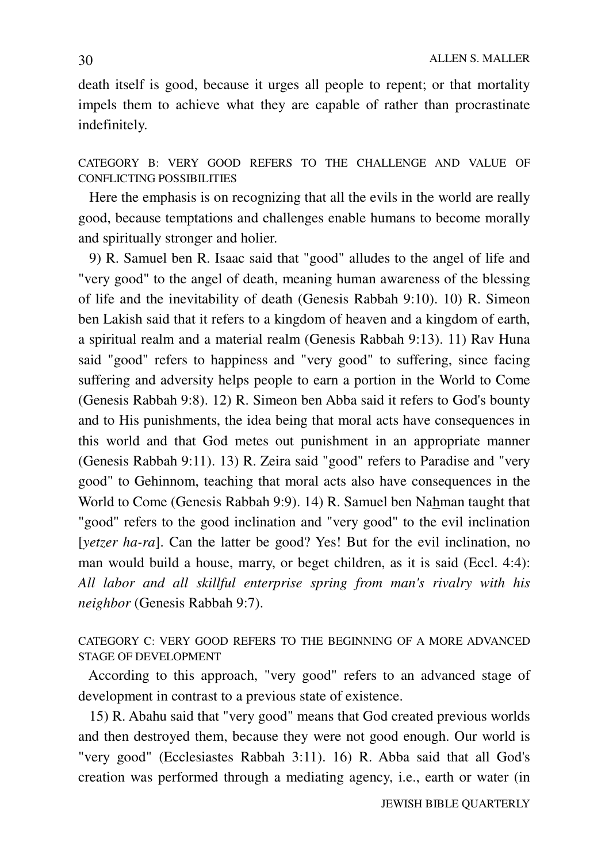death itself is good, because it urges all people to repent; or that mortality impels them to achieve what they are capable of rather than procrastinate indefinitely.

CATEGORY B: VERY GOOD REFERS TO THE CHALLENGE AND VALUE OF CONFLICTING POSSIBILITIES

 Here the emphasis is on recognizing that all the evils in the world are really good, because temptations and challenges enable humans to become morally and spiritually stronger and holier.

 9) R. Samuel ben R. Isaac said that "good" alludes to the angel of life and "very good" to the angel of death, meaning human awareness of the blessing of life and the inevitability of death (Genesis Rabbah 9:10). 10) R. Simeon ben Lakish said that it refers to a kingdom of heaven and a kingdom of earth, a spiritual realm and a material realm (Genesis Rabbah 9:13). 11) Rav Huna said "good" refers to happiness and "very good" to suffering, since facing suffering and adversity helps people to earn a portion in the World to Come (Genesis Rabbah 9:8). 12) R. Simeon ben Abba said it refers to God's bounty and to His punishments, the idea being that moral acts have consequences in this world and that God metes out punishment in an appropriate manner (Genesis Rabbah 9:11). 13) R. Zeira said "good" refers to Paradise and "very good" to Gehinnom, teaching that moral acts also have consequences in the World to Come (Genesis Rabbah 9:9). 14) R. Samuel ben Nahman taught that "good" refers to the good inclination and "very good" to the evil inclination [*yetzer ha-ra*]. Can the latter be good? Yes! But for the evil inclination, no man would build a house, marry, or beget children, as it is said (Eccl. 4:4): *All labor and all skillful enterprise spring from man's rivalry with his neighbor* (Genesis Rabbah 9:7).

## CATEGORY C: VERY GOOD REFERS TO THE BEGINNING OF A MORE ADVANCED STAGE OF DEVELOPMENT

 According to this approach, "very good" refers to an advanced stage of development in contrast to a previous state of existence.

 15) R. Abahu said that "very good" means that God created previous worlds and then destroyed them, because they were not good enough. Our world is "very good" (Ecclesiastes Rabbah 3:11). 16) R. Abba said that all God's creation was performed through a mediating agency, i.e., earth or water (in